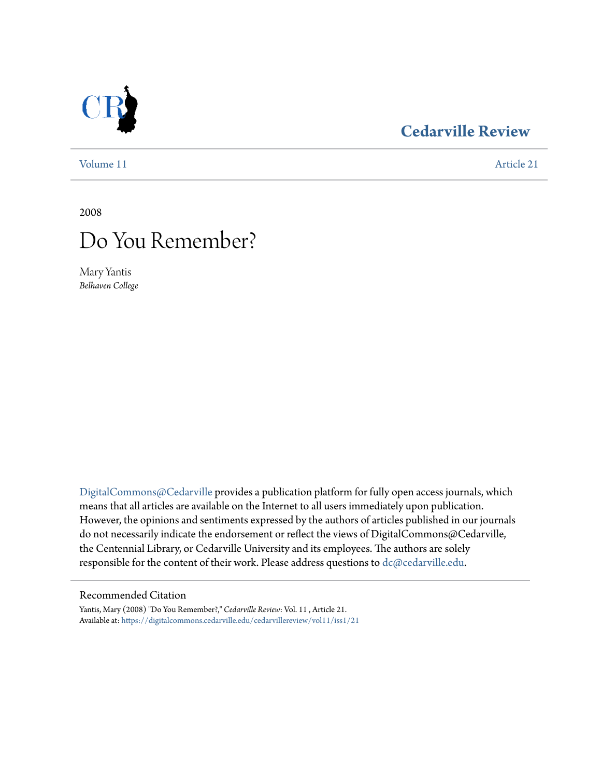### **[Cedarville Review](https://digitalcommons.cedarville.edu/cedarvillereview?utm_source=digitalcommons.cedarville.edu%2Fcedarvillereview%2Fvol11%2Fiss1%2F21&utm_medium=PDF&utm_campaign=PDFCoverPages)**

[Volume 11](https://digitalcommons.cedarville.edu/cedarvillereview/vol11?utm_source=digitalcommons.cedarville.edu%2Fcedarvillereview%2Fvol11%2Fiss1%2F21&utm_medium=PDF&utm_campaign=PDFCoverPages) [Article 21](https://digitalcommons.cedarville.edu/cedarvillereview/vol11/iss1/21?utm_source=digitalcommons.cedarville.edu%2Fcedarvillereview%2Fvol11%2Fiss1%2F21&utm_medium=PDF&utm_campaign=PDFCoverPages)

2008

# Do You Remember?

Mary Yantis *Belhaven College*

[DigitalCommons@Cedarville](http://digitalcommons.cedarville.edu) provides a publication platform for fully open access journals, which means that all articles are available on the Internet to all users immediately upon publication. However, the opinions and sentiments expressed by the authors of articles published in our journals do not necessarily indicate the endorsement or reflect the views of DigitalCommons@Cedarville, the Centennial Library, or Cedarville University and its employees. The authors are solely responsible for the content of their work. Please address questions to [dc@cedarville.edu](mailto:dc@cedarville.edu).

#### Recommended Citation

Yantis, Mary (2008) "Do You Remember?," *Cedarville Review*: Vol. 11 , Article 21. Available at: [https://digitalcommons.cedarville.edu/cedarvillereview/vol11/iss1/21](https://digitalcommons.cedarville.edu/cedarvillereview/vol11/iss1/21?utm_source=digitalcommons.cedarville.edu%2Fcedarvillereview%2Fvol11%2Fiss1%2F21&utm_medium=PDF&utm_campaign=PDFCoverPages)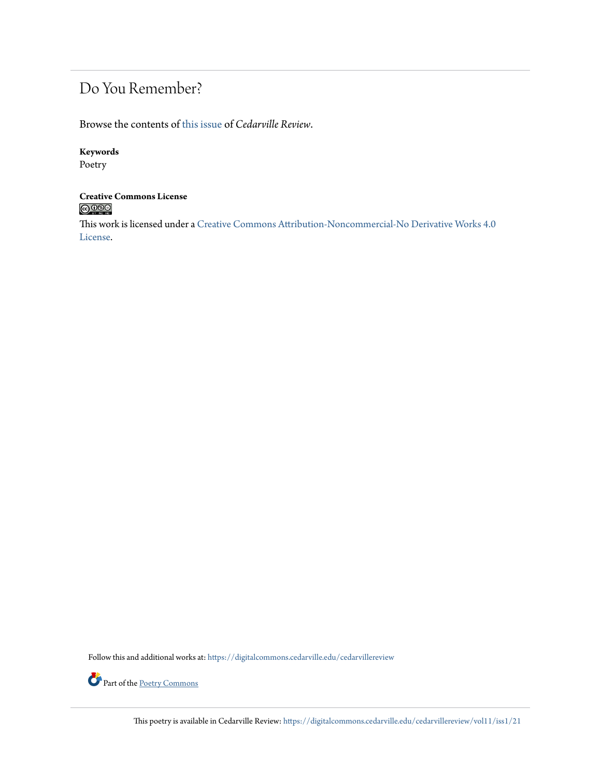## Do You Remember?

Browse the contents of [this issue](https://digitalcommons.cedarville.edu/cedarvillereview/vol11/iss1) of *Cedarville Review*.

#### **Keywords**

Poetry

# **Creative Commons License**

This work is licensed under a [Creative Commons Attribution-Noncommercial-No Derivative Works 4.0](http://creativecommons.org/licenses/by-nc-nd/4.0/) [License.](http://creativecommons.org/licenses/by-nc-nd/4.0/)

Follow this and additional works at: [https://digitalcommons.cedarville.edu/cedarvillereview](https://digitalcommons.cedarville.edu/cedarvillereview?utm_source=digitalcommons.cedarville.edu%2Fcedarvillereview%2Fvol11%2Fiss1%2F21&utm_medium=PDF&utm_campaign=PDFCoverPages)



Part of the <u>[Poetry Commons](http://network.bepress.com/hgg/discipline/1153?utm_source=digitalcommons.cedarville.edu%2Fcedarvillereview%2Fvol11%2Fiss1%2F21&utm_medium=PDF&utm_campaign=PDFCoverPages)</u>

This poetry is available in Cedarville Review: [https://digitalcommons.cedarville.edu/cedarvillereview/vol11/iss1/21](https://digitalcommons.cedarville.edu/cedarvillereview/vol11/iss1/21?utm_source=digitalcommons.cedarville.edu%2Fcedarvillereview%2Fvol11%2Fiss1%2F21&utm_medium=PDF&utm_campaign=PDFCoverPages)